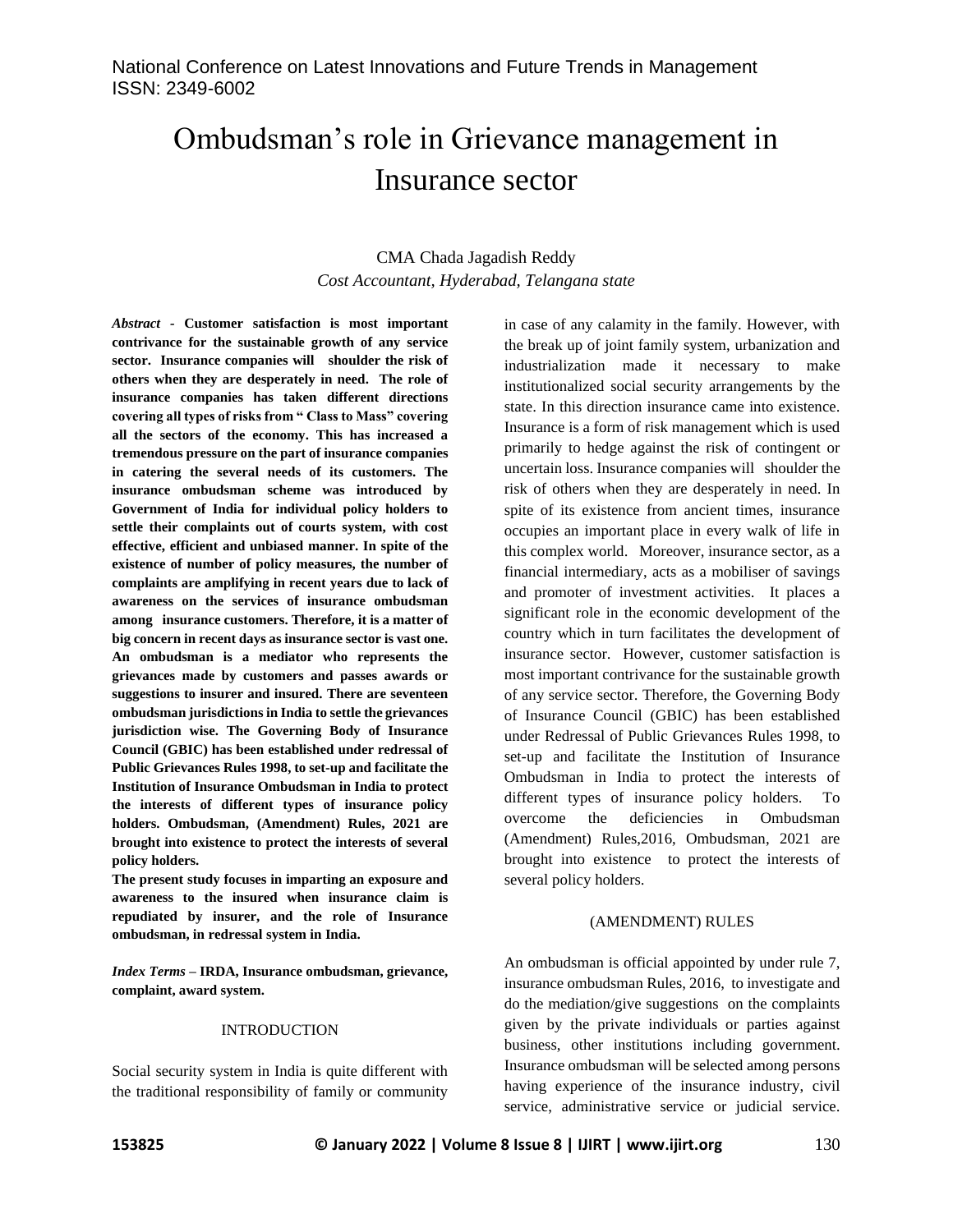# Ombudsman's role in Grievance management in Insurance sector

# CMA Chada Jagadish Reddy *Cost Accountant, Hyderabad, Telangana state*

*Abstract -* **Customer satisfaction is most important contrivance for the sustainable growth of any service sector. Insurance companies will shoulder the risk of others when they are desperately in need. The role of insurance companies has taken different directions covering all types of risks from " Class to Mass" covering all the sectors of the economy. This has increased a tremendous pressure on the part of insurance companies in catering the several needs of its customers. The insurance ombudsman scheme was introduced by Government of India for individual policy holders to settle their complaints out of courts system, with cost effective, efficient and unbiased manner. In spite of the existence of number of policy measures, the number of complaints are amplifying in recent years due to lack of awareness on the services of insurance ombudsman among insurance customers. Therefore, it is a matter of big concern in recent days as insurance sector is vast one. An ombudsman is a mediator who represents the grievances made by customers and passes awards or suggestions to insurer and insured. There are seventeen ombudsman jurisdictions in India to settle the grievances jurisdiction wise. The Governing Body of Insurance Council (GBIC) has been established under redressal of Public Grievances Rules 1998, to set-up and facilitate the Institution of Insurance Ombudsman in India to protect the interests of different types of insurance policy holders. Ombudsman, (Amendment) Rules, 2021 are brought into existence to protect the interests of several policy holders.**

**The present study focuses in imparting an exposure and awareness to the insured when insurance claim is repudiated by insurer, and the role of Insurance ombudsman, in redressal system in India.** 

*Index Terms –* **IRDA, Insurance ombudsman, grievance, complaint, award system.**

#### INTRODUCTION

Social security system in India is quite different with the traditional responsibility of family or community in case of any calamity in the family. However, with the break up of joint family system, urbanization and industrialization made it necessary to make institutionalized social security arrangements by the state. In this direction insurance came into existence. Insurance is a form of risk management which is used primarily to hedge against the risk of contingent or uncertain loss. Insurance companies will shoulder the risk of others when they are desperately in need. In spite of its existence from ancient times, insurance occupies an important place in every walk of life in this complex world. Moreover, insurance sector, as a financial intermediary, acts as a mobiliser of savings and promoter of investment activities. It places a significant role in the economic development of the country which in turn facilitates the development of insurance sector. However, customer satisfaction is most important contrivance for the sustainable growth of any service sector. Therefore, the Governing Body of Insurance Council (GBIC) has been established under Redressal of Public Grievances Rules 1998, to set-up and facilitate the Institution of Insurance Ombudsman in India to protect the interests of different types of insurance policy holders. To overcome the deficiencies in Ombudsman (Amendment) Rules,2016, Ombudsman, 2021 are brought into existence to protect the interests of several policy holders.

#### (AMENDMENT) RULES

An ombudsman is official appointed by under rule 7, insurance ombudsman Rules, 2016, to investigate and do the mediation/give suggestions on the complaints given by the private individuals or parties against business, other institutions including government. Insurance ombudsman will be selected among persons having experience of the insurance industry, civil service, administrative service or judicial service.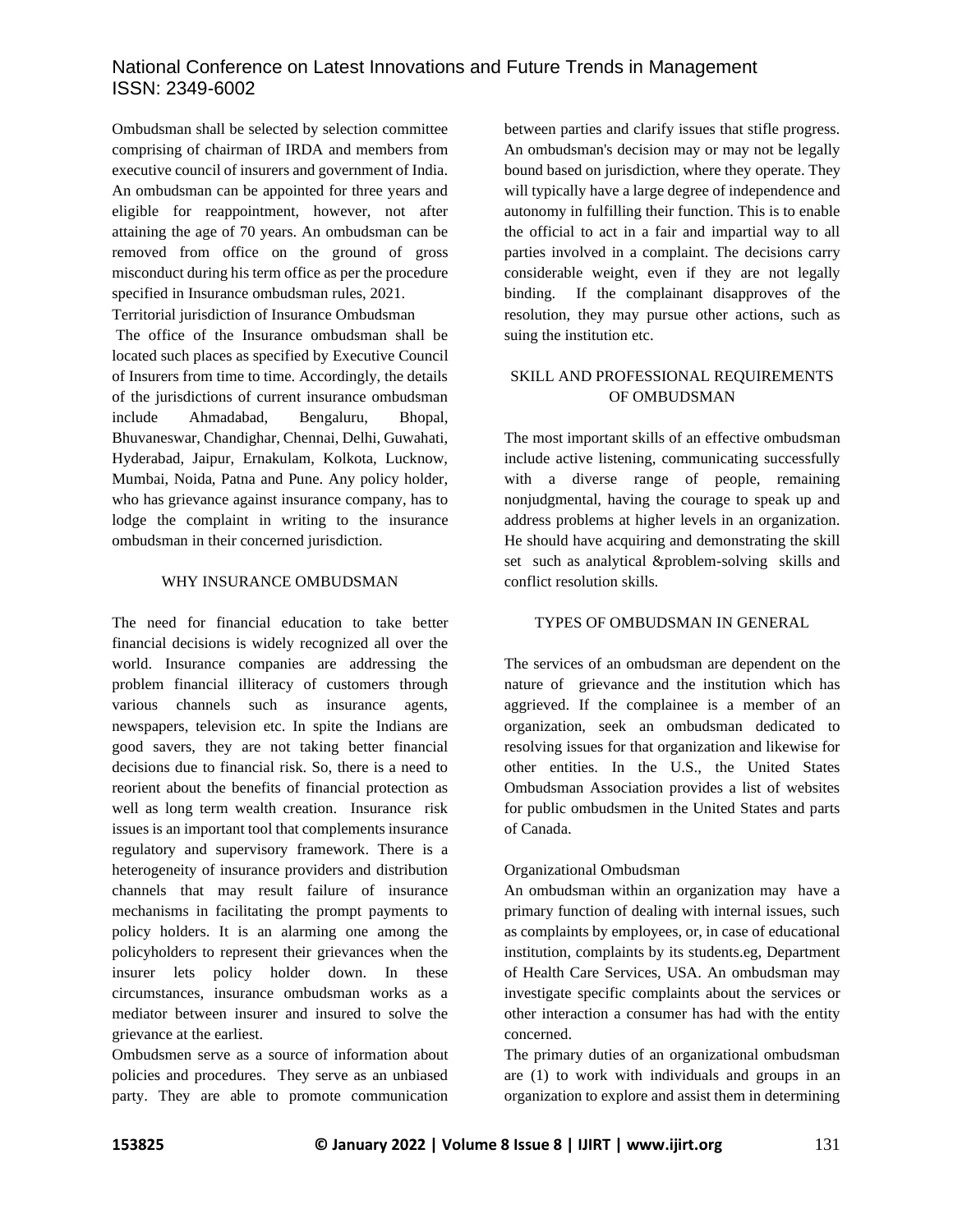Ombudsman shall be selected by selection committee comprising of chairman of IRDA and members from executive council of insurers and government of India. An ombudsman can be appointed for three years and eligible for reappointment, however, not after attaining the age of 70 years. An ombudsman can be removed from office on the ground of gross misconduct during his term office as per the procedure specified in Insurance ombudsman rules, 2021.

Territorial jurisdiction of Insurance Ombudsman

The office of the Insurance ombudsman shall be located such places as specified by Executive Council of Insurers from time to time. Accordingly, the details of the jurisdictions of current insurance ombudsman include Ahmadabad, Bengaluru, Bhopal, Bhuvaneswar, Chandighar, Chennai, Delhi, Guwahati, Hyderabad, Jaipur, Ernakulam, Kolkota, Lucknow, Mumbai, Noida, Patna and Pune. Any policy holder, who has grievance against insurance company, has to lodge the complaint in writing to the insurance ombudsman in their concerned jurisdiction.

# WHY INSURANCE OMBUDSMAN

The need for financial education to take better financial decisions is widely recognized all over the world. Insurance companies are addressing the problem financial illiteracy of customers through various channels such as insurance agents, newspapers, television etc. In spite the Indians are good savers, they are not taking better financial decisions due to financial risk. So, there is a need to reorient about the benefits of financial protection as well as long term wealth creation. Insurance risk issues is an important tool that complements insurance regulatory and supervisory framework. There is a heterogeneity of insurance providers and distribution channels that may result failure of insurance mechanisms in facilitating the prompt payments to policy holders. It is an alarming one among the policyholders to represent their grievances when the insurer lets policy holder down. In these circumstances, insurance ombudsman works as a mediator between insurer and insured to solve the grievance at the earliest.

Ombudsmen serve as a source of information about policies and procedures. They serve as an unbiased party. They are able to promote communication

between parties and clarify issues that stifle progress. An ombudsman's decision may or may not be legally bound based on jurisdiction, where they operate. They will typically have a large degree of independence and autonomy in fulfilling their function. This is to enable the official to act in a fair and impartial way to all parties involved in a complaint. The decisions carry considerable weight, even if they are not legally binding. If the complainant disapproves of the resolution, they may pursue other actions, such as suing the institution etc.

# SKILL AND PROFESSIONAL REQUIREMENTS OF OMBUDSMAN

The most important skills of an effective ombudsman include active listening, communicating successfully with a diverse range of people, remaining nonjudgmental, having the courage to speak up and address problems at higher levels in an organization. He should have acquiring and demonstrating the skill set such as analytical &problem-solving skills and conflict resolution skills.

## TYPES OF OMBUDSMAN IN GENERAL

The services of an ombudsman are dependent on the nature of grievance and the institution which has aggrieved. If the complainee is a member of an organization, seek an ombudsman dedicated to resolving issues for that organization and likewise for other entities. In the U.S., the United States Ombudsman Association provides a list of websites for public ombudsmen in the United States and parts of Canada.

# Organizational Ombudsman

An ombudsman within an organization may have a primary function of dealing with internal issues, such as complaints by employees, or, in case of educational institution, complaints by its students.eg, Department of Health Care Services, USA. An ombudsman may investigate specific complaints about the services or other interaction a consumer has had with the entity concerned.

The primary duties of an organizational ombudsman are (1) to work with individuals and groups in an organization to explore and assist them in determining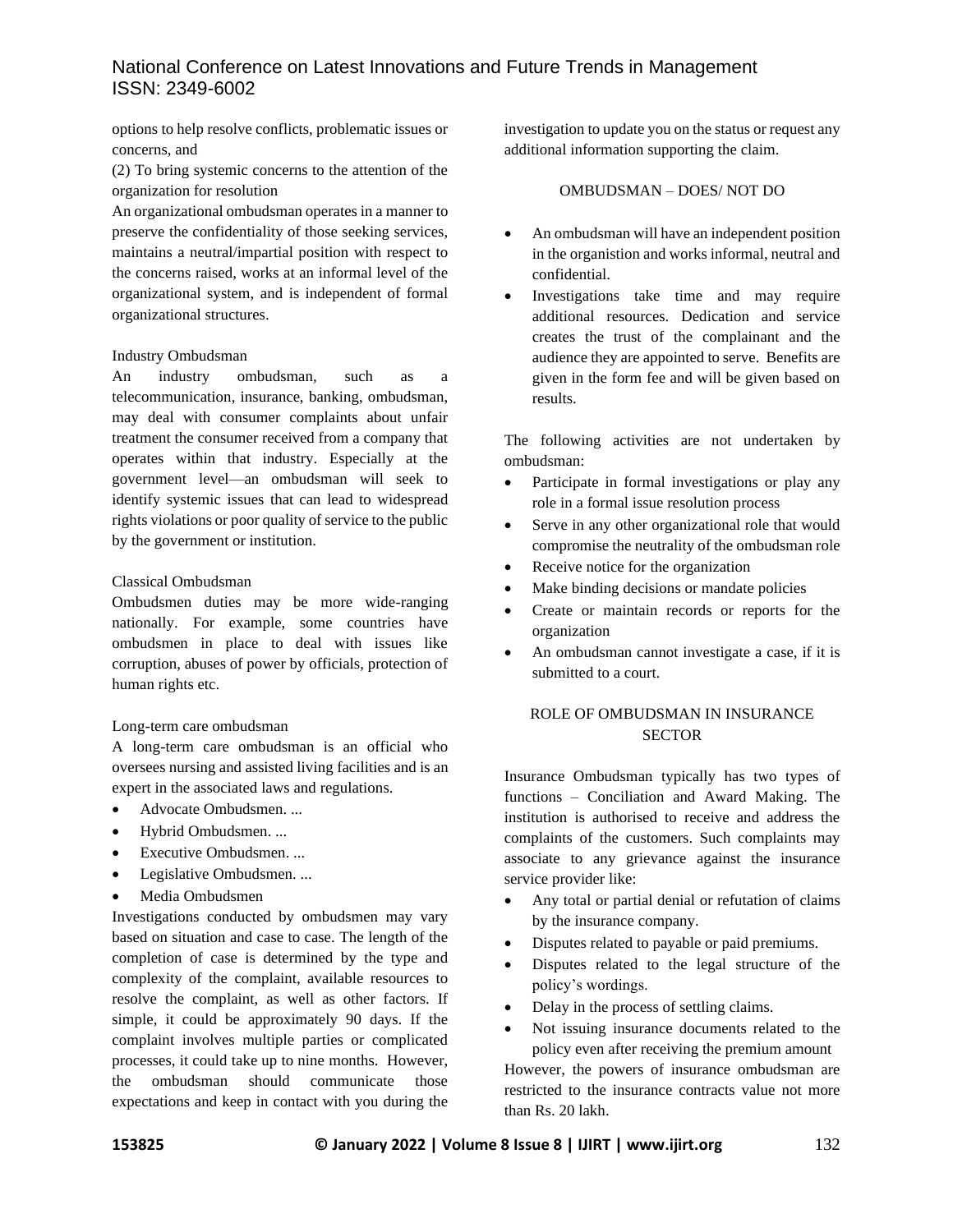options to help resolve conflicts, problematic issues or concerns, and

(2) To bring systemic concerns to the attention of the organization for resolution

An organizational ombudsman operates in a manner to preserve the confidentiality of those seeking services, maintains a neutral/impartial position with respect to the concerns raised, works at an informal level of the organizational system, and is independent of formal organizational structures.

#### Industry Ombudsman

An industry ombudsman, such as a telecommunication, insurance, banking, ombudsman, may deal with consumer complaints about unfair treatment the consumer received from a company that operates within that industry. Especially at the government level—an ombudsman will seek to identify systemic issues that can lead to widespread rights violations or poor quality of service to the public by the government or institution.

#### Classical Ombudsman

Ombudsmen duties may be more wide-ranging nationally. For example, some countries have ombudsmen in place to deal with issues like corruption, abuses of power by officials, protection of human rights etc.

#### Long-term care ombudsman

A long-term care ombudsman is an official who oversees nursing and assisted living facilities and is an expert in the associated laws and regulations.

- Advocate Ombudsmen. ...
- Hybrid Ombudsmen. ...
- Executive Ombudsmen. ...
- Legislative Ombudsmen. ...
- Media Ombudsmen

Investigations conducted by ombudsmen may vary based on situation and case to case. The length of the completion of case is determined by the type and complexity of the complaint, available resources to resolve the complaint, as well as other factors. If simple, it could be approximately 90 days. If the complaint involves multiple parties or complicated processes, it could take up to nine months. However, the ombudsman should communicate those expectations and keep in contact with you during the

investigation to update you on the status or request any additional information supporting the claim.

### OMBUDSMAN – DOES/ NOT DO

- An ombudsman will have an independent position in the organistion and works informal, neutral and confidential.
- Investigations take time and may require additional resources. Dedication and service creates the trust of the complainant and the audience they are appointed to serve. Benefits are given in the form fee and will be given based on results.

The following activities are not undertaken by ombudsman:

- Participate in formal investigations or play any role in a formal issue resolution process
- Serve in any other organizational role that would compromise the neutrality of the ombudsman role
- Receive notice for the organization
- Make binding decisions or mandate policies
- Create or maintain records or reports for the organization
- An ombudsman cannot investigate a case, if it is submitted to a court.

## ROLE OF OMBUDSMAN IN INSURANCE **SECTOR**

Insurance Ombudsman typically has two types of functions – Conciliation and Award Making. The institution is authorised to receive and address the complaints of the customers. Such complaints may associate to any grievance against the insurance service provider like:

- Any total or partial denial or refutation of claims by the insurance company.
- Disputes related to payable or paid premiums.
- Disputes related to the legal structure of the policy's wordings.
- Delay in the process of settling claims.
- Not issuing insurance documents related to the policy even after receiving the premium amount

However, the powers of insurance ombudsman are restricted to the insurance contracts value not more than Rs. 20 lakh.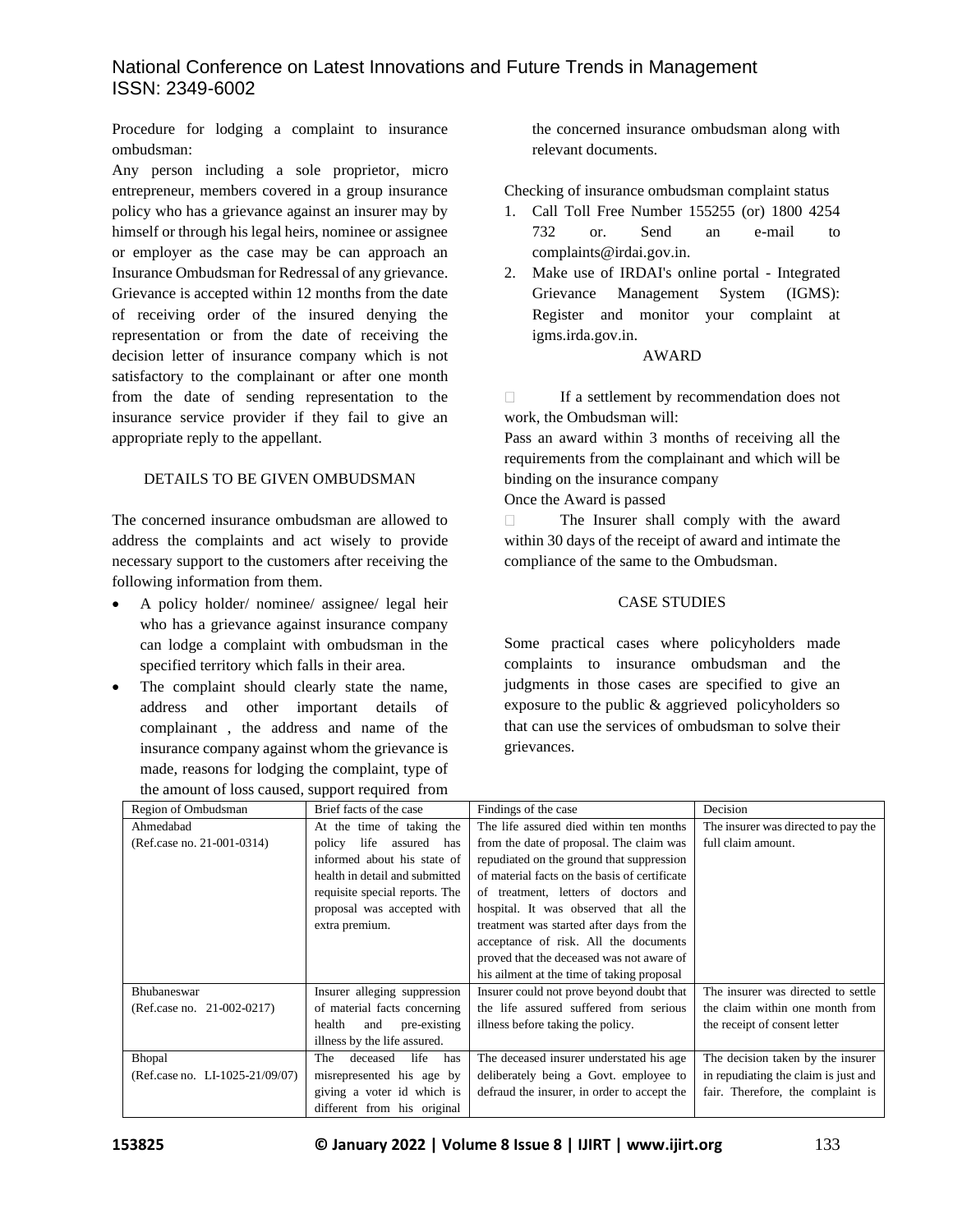Procedure for lodging a complaint to insurance ombudsman:

Any person including a sole proprietor, micro entrepreneur, members covered in a group insurance policy who has a grievance against an insurer may by himself or through his legal heirs, nominee or assignee or employer as the case may be can approach an Insurance Ombudsman for Redressal of any grievance. Grievance is accepted within 12 months from the date of receiving order of the insured denying the representation or from the date of receiving the decision letter of insurance company which is not satisfactory to the complainant or after one month from the date of sending representation to the insurance service provider if they fail to give an appropriate reply to the appellant.

# DETAILS TO BE GIVEN OMBUDSMAN

The concerned insurance ombudsman are allowed to address the complaints and act wisely to provide necessary support to the customers after receiving the following information from them.

- A policy holder/ nominee/ assignee/ legal heir who has a grievance against insurance company can lodge a complaint with ombudsman in the specified territory which falls in their area.
- The complaint should clearly state the name, address and other important details of complainant , the address and name of the insurance company against whom the grievance is made, reasons for lodging the complaint, type of the amount of loss caused, support required from

the concerned insurance ombudsman along with relevant documents.

Checking of insurance ombudsman complaint status

- 1. Call Toll Free Number 155255 (or) 1800 4254 732 or. Send an e-mail to complaints@irdai.gov.in.
- 2. Make use of IRDAI's online portal Integrated Grievance Management System (IGMS): Register and monitor your complaint at igms.irda.gov.in.

# AWARD

 $\Box$ If a settlement by recommendation does not work, the Ombudsman will:

Pass an award within 3 months of receiving all the requirements from the complainant and which will be binding on the insurance company

Once the Award is passed

The Insurer shall comply with the award  $\Box$ within 30 days of the receipt of award and intimate the compliance of the same to the Ombudsman.

## CASE STUDIES

Some practical cases where policyholders made complaints to insurance ombudsman and the judgments in those cases are specified to give an exposure to the public  $\&$  aggrieved policyholders so that can use the services of ombudsman to solve their grievances.

| the amount of loss caused, support required from |                                  |                                               |                                      |
|--------------------------------------------------|----------------------------------|-----------------------------------------------|--------------------------------------|
| Region of Ombudsman                              | Brief facts of the case          | Findings of the case                          | Decision                             |
| Ahmedabad                                        | At the time of taking the        | The life assured died within ten months       | The insurer was directed to pay the  |
| (Ref.case no. 21-001-0314)                       | policy<br>life<br>assured<br>has | from the date of proposal. The claim was      | full claim amount.                   |
|                                                  | informed about his state of      | repudiated on the ground that suppression     |                                      |
|                                                  | health in detail and submitted   | of material facts on the basis of certificate |                                      |
|                                                  | requisite special reports. The   | of treatment, letters of doctors and          |                                      |
|                                                  | proposal was accepted with       | hospital. It was observed that all the        |                                      |
|                                                  | extra premium.                   | treatment was started after days from the     |                                      |
|                                                  |                                  | acceptance of risk. All the documents         |                                      |
|                                                  |                                  | proved that the deceased was not aware of     |                                      |
|                                                  |                                  | his ailment at the time of taking proposal    |                                      |
| Bhubaneswar                                      | Insurer alleging suppression     | Insurer could not prove beyond doubt that     | The insurer was directed to settle   |
| (Ref.case no. 21-002-0217)                       | of material facts concerning     | the life assured suffered from serious        | the claim within one month from      |
|                                                  | health<br>pre-existing<br>and    | illness before taking the policy.             | the receipt of consent letter        |
|                                                  | illness by the life assured.     |                                               |                                      |
| Bhopal                                           | deceased<br>life<br>The<br>has   | The deceased insurer understated his age      | The decision taken by the insurer    |
| (Ref.case no. LI-1025-21/09/07)                  | misrepresented his age by        | deliberately being a Govt. employee to        | in repudiating the claim is just and |
|                                                  | giving a voter id which is       | defraud the insurer, in order to accept the   | fair. Therefore, the complaint is    |
|                                                  | different from his original      |                                               |                                      |